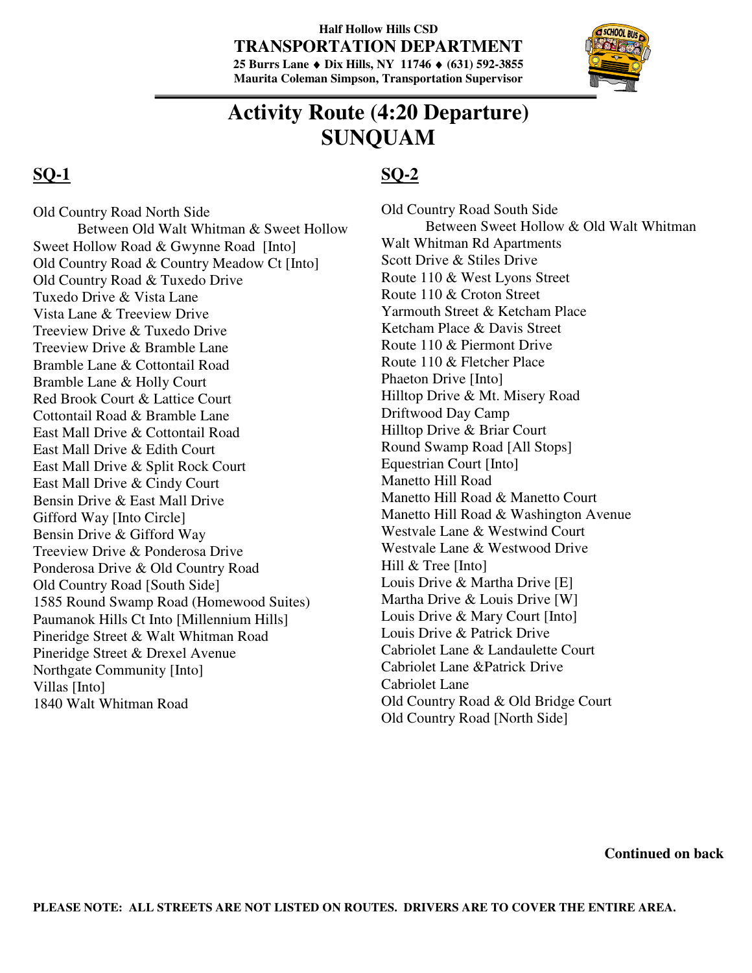#### **Half Hollow Hills CSD TRANSPORTATION DEPARTMENT 25 Burrs Lane** ♦ **Dix Hills, NY 11746** ♦ **(631) 592-3855 Maurita Coleman Simpson, Transportation Supervisor**



# **Activity Route (4:20 Departure) SUNQUAM**

### **SQ-1**

Old Country Road North Side Between Old Walt Whitman & Sweet Hollow Sweet Hollow Road & Gwynne Road [Into] Old Country Road & Country Meadow Ct [Into] Old Country Road & Tuxedo Drive Tuxedo Drive & Vista Lane Vista Lane & Treeview Drive Treeview Drive & Tuxedo Drive Treeview Drive & Bramble Lane Bramble Lane & Cottontail Road Bramble Lane & Holly Court Red Brook Court & Lattice Court Cottontail Road & Bramble Lane East Mall Drive & Cottontail Road East Mall Drive & Edith Court East Mall Drive & Split Rock Court East Mall Drive & Cindy Court Bensin Drive & East Mall Drive Gifford Way [Into Circle] Bensin Drive & Gifford Way Treeview Drive & Ponderosa Drive Ponderosa Drive & Old Country Road Old Country Road [South Side] 1585 Round Swamp Road (Homewood Suites) Paumanok Hills Ct Into [Millennium Hills] Pineridge Street & Walt Whitman Road Pineridge Street & Drexel Avenue Northgate Community [Into] Villas [Into] 1840 Walt Whitman Road

## **SQ-2**

Old Country Road South Side Between Sweet Hollow & Old Walt Whitman Walt Whitman Rd Apartments Scott Drive & Stiles Drive Route 110 & West Lyons Street Route 110 & Croton Street Yarmouth Street & Ketcham Place Ketcham Place & Davis Street Route 110 & Piermont Drive Route 110 & Fletcher Place Phaeton Drive [Into] Hilltop Drive & Mt. Misery Road Driftwood Day Camp Hilltop Drive & Briar Court Round Swamp Road [All Stops] Equestrian Court [Into] Manetto Hill Road Manetto Hill Road & Manetto Court Manetto Hill Road & Washington Avenue Westvale Lane & Westwind Court Westvale Lane & Westwood Drive Hill & Tree [Into] Louis Drive & Martha Drive [E] Martha Drive & Louis Drive [W] Louis Drive & Mary Court [Into] Louis Drive & Patrick Drive Cabriolet Lane & Landaulette Court Cabriolet Lane &Patrick Drive Cabriolet Lane Old Country Road & Old Bridge Court Old Country Road [North Side]

**Continued on back**